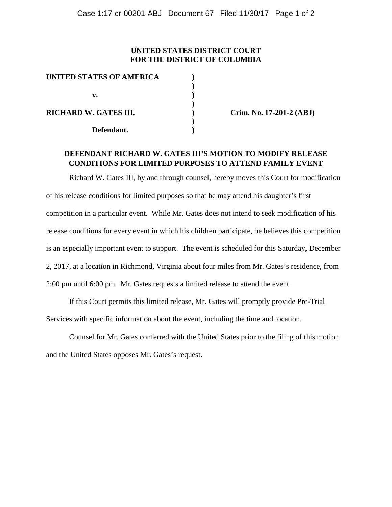## **UNITED STATES DISTRICT COURT FOR THE DISTRICT OF COLUMBIA**

| <b>UNITED STATES OF AMERICA</b> |  |
|---------------------------------|--|
|                                 |  |
| v.                              |  |
|                                 |  |
| <b>RICHARD W. GATES III,</b>    |  |
|                                 |  |
| Defendant.                      |  |

**Crim. No. 17-201-2 (ABJ)** 

## **DEFENDANT RICHARD W. GATES III'S MOTION TO MODIFY RELEASE CONDITIONS FOR LIMITED PURPOSES TO ATTEND FAMILY EVENT**

Richard W. Gates III, by and through counsel, hereby moves this Court for modification of his release conditions for limited purposes so that he may attend his daughter's first competition in a particular event. While Mr. Gates does not intend to seek modification of his release conditions for every event in which his children participate, he believes this competition is an especially important event to support. The event is scheduled for this Saturday, December 2, 2017, at a location in Richmond, Virginia about four miles from Mr. Gates's residence, from 2:00 pm until 6:00 pm. Mr. Gates requests a limited release to attend the event.

If this Court permits this limited release, Mr. Gates will promptly provide Pre-Trial Services with specific information about the event, including the time and location.

Counsel for Mr. Gates conferred with the United States prior to the filing of this motion and the United States opposes Mr. Gates's request.